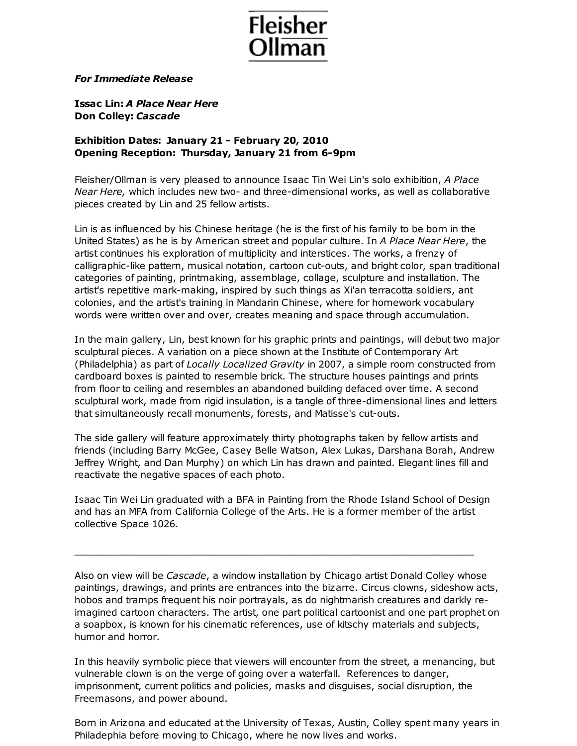

## *For Immediate Release*

**Issac Lin:** *A Place Near Here* **Don Colley:** *Cascade*

## **Exhibition Dates: January 21 - February 20, 2010 Opening Reception: Thursday, January 21 from 6-9pm**

Fleisher/Ollman is very pleased to announce Isaac Tin Wei Lin's solo exhibition, *A Place Near Here,* which includes new two- and three-dimensional works, as well as collaborative pieces created by Lin and 25 fellow artists.

Lin is as influenced by his Chinese heritage (he is the first of his family to be born in the United States) as he is by American street and popular culture. In *A Place Near Here*, the artist continues his exploration of multiplicity and interstices. The works, a frenzy of calligraphic-like pattern, musical notation, cartoon cut-outs, and bright color, span traditional categories of painting, printmaking, assemblage, collage, sculpture and installation. The artist's repetitive mark-making, inspired by such things as Xi'an terracotta soldiers, ant colonies, and the artist's training in Mandarin Chinese, where for homework vocabulary words were written over and over, creates meaning and space through accumulation.

In the main gallery, Lin, best known for his graphic prints and paintings, will debut two major sculptural pieces. A variation on a piece shown at the Institute of Contemporary Art (Philadelphia) as part of *Locally Localized Gravity* in 2007, a simple room constructed from cardboard boxes is painted to resemble brick. The structure houses paintings and prints from floor to ceiling and resembles an abandoned building defaced over time. A second sculptural work, made from rigid insulation, is a tangle of three-dimensional lines and letters that simultaneously recall monuments, forests, and Matisse's cut-outs.

The side gallery will feature approximately thirty photographs taken by fellow artists and friends (including Barry McGee, Casey Belle Watson, Alex Lukas, Darshana Borah, Andrew Jeffrey Wright, and Dan Murphy) on which Lin has drawn and painted. Elegant lines fill and reactivate the negative spaces of each photo.

Isaac Tin Wei Lin graduated with a BFA in Painting from the Rhode Island School of Design and has an MFA from California College of the Arts. He is a former member of the artist collective Space 1026.

\_\_\_\_\_\_\_\_\_\_\_\_\_\_\_\_\_\_\_\_\_\_\_\_\_\_\_\_\_\_\_\_\_\_\_\_\_\_\_\_\_\_\_\_\_\_\_\_\_\_\_\_\_\_\_\_\_\_\_\_\_\_\_\_\_\_\_\_\_

Also on view will be *Cascade*, a window installation by Chicago artist Donald Colley whose paintings, drawings, and prints are entrances into the bizarre. Circus clowns, sideshow acts, hobos and tramps frequent his noir portrayals, as do nightmarish creatures and darkly reimagined cartoon characters. The artist, one part political cartoonist and one part prophet on a soapbox, is known for his cinematic references, use of kitschy materials and subjects, humor and horror.

In this heavily symbolic piece that viewers will encounter from the street, a menancing, but vulnerable clown is on the verge of going over a waterfall. References to danger, imprisonment, current politics and policies, masks and disguises, social disruption, the Freemasons, and power abound.

Born in Arizona and educated at the University of Texas, Austin, Colley spent many years in Philadephia before moving to Chicago, where he now lives and works.